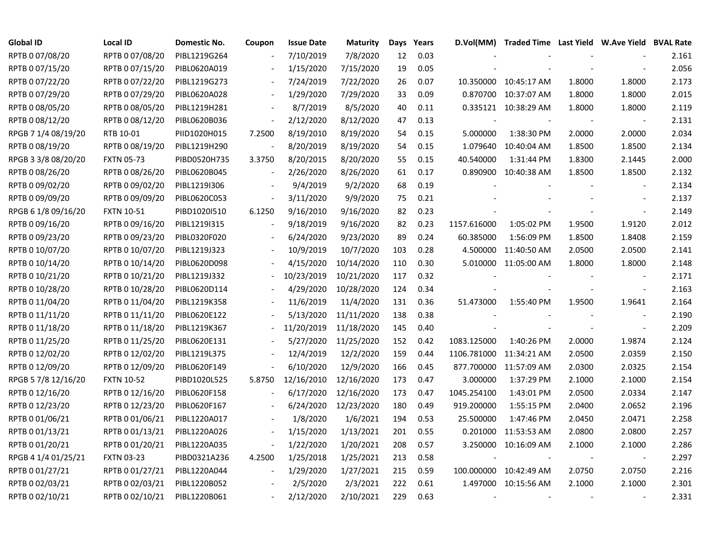| <b>Global ID</b>    | <b>Local ID</b>   | Domestic No. | Coupon                   | <b>Issue Date</b> | <b>Maturity</b> | Days | Years |                          | D.Vol(MM) Traded Time Last Yield W.Ave Yield BVAL Rate |        |                          |       |
|---------------------|-------------------|--------------|--------------------------|-------------------|-----------------|------|-------|--------------------------|--------------------------------------------------------|--------|--------------------------|-------|
| RPTB 0 07/08/20     | RPTB 0 07/08/20   | PIBL1219G264 |                          | 7/10/2019         | 7/8/2020        | 12   | 0.03  |                          |                                                        |        |                          | 2.161 |
| RPTB 0 07/15/20     | RPTB 0 07/15/20   | PIBL0620A019 |                          | 1/15/2020         | 7/15/2020       | 19   | 0.05  |                          |                                                        |        |                          | 2.056 |
| RPTB 0 07/22/20     | RPTB 0 07/22/20   | PIBL1219G273 |                          | 7/24/2019         | 7/22/2020       | 26   | 0.07  |                          | 10.350000 10:45:17 AM                                  | 1.8000 | 1.8000                   | 2.173 |
| RPTB 0 07/29/20     | RPTB 0 07/29/20   | PIBL0620A028 |                          | 1/29/2020         | 7/29/2020       | 33   | 0.09  |                          | 0.870700 10:37:07 AM                                   | 1.8000 | 1.8000                   | 2.015 |
| RPTB 0 08/05/20     | RPTB 0 08/05/20   | PIBL1219H281 | $\overline{\phantom{a}}$ | 8/7/2019          | 8/5/2020        | 40   | 0.11  |                          | 0.335121 10:38:29 AM                                   | 1.8000 | 1.8000                   | 2.119 |
| RPTB 0 08/12/20     | RPTB 0 08/12/20   | PIBL0620B036 |                          | 2/12/2020         | 8/12/2020       | 47   | 0.13  |                          |                                                        |        | $\overline{\phantom{a}}$ | 2.131 |
| RPGB 7 1/4 08/19/20 | RTB 10-01         | PIID1020H015 | 7.2500                   | 8/19/2010         | 8/19/2020       | 54   | 0.15  | 5.000000                 | 1:38:30 PM                                             | 2.0000 | 2.0000                   | 2.034 |
| RPTB 0 08/19/20     | RPTB 0 08/19/20   | PIBL1219H290 |                          | 8/20/2019         | 8/19/2020       | 54   | 0.15  |                          | 1.079640 10:40:04 AM                                   | 1.8500 | 1.8500                   | 2.134 |
| RPGB 3 3/8 08/20/20 | <b>FXTN 05-73</b> | PIBD0520H735 | 3.3750                   | 8/20/2015         | 8/20/2020       | 55   | 0.15  | 40.540000                | 1:31:44 PM                                             | 1.8300 | 2.1445                   | 2.000 |
| RPTB 0 08/26/20     | RPTB 0 08/26/20   | PIBL0620B045 |                          | 2/26/2020         | 8/26/2020       | 61   | 0.17  |                          | 0.890900 10:40:38 AM                                   | 1.8500 | 1.8500                   | 2.132 |
| RPTB 0 09/02/20     | RPTB 0 09/02/20   | PIBL1219I306 |                          | 9/4/2019          | 9/2/2020        | 68   | 0.19  |                          |                                                        |        | $\overline{\phantom{a}}$ | 2.134 |
| RPTB 0 09/09/20     | RPTB 0 09/09/20   | PIBL0620C053 |                          | 3/11/2020         | 9/9/2020        | 75   | 0.21  |                          |                                                        |        | $\overline{a}$           | 2.137 |
| RPGB 6 1/8 09/16/20 | <b>FXTN 10-51</b> | PIBD1020I510 | 6.1250                   | 9/16/2010         | 9/16/2020       | 82   | 0.23  |                          |                                                        |        | $\blacksquare$           | 2.149 |
| RPTB 0 09/16/20     | RPTB 0 09/16/20   | PIBL1219I315 |                          | 9/18/2019         | 9/16/2020       | 82   | 0.23  | 1157.616000              | 1:05:02 PM                                             | 1.9500 | 1.9120                   | 2.012 |
| RPTB 0 09/23/20     | RPTB 0 09/23/20   | PIBL0320F020 |                          | 6/24/2020         | 9/23/2020       | 89   | 0.24  | 60.385000                | 1:56:09 PM                                             | 1.8500 | 1.8408                   | 2.159 |
| RPTB 0 10/07/20     | RPTB 0 10/07/20   | PIBL1219J323 |                          | 10/9/2019         | 10/7/2020       | 103  | 0.28  |                          | 4.500000 11:40:50 AM                                   | 2.0500 | 2.0500                   | 2.141 |
| RPTB 0 10/14/20     | RPTB 0 10/14/20   | PIBL0620D098 |                          | 4/15/2020         | 10/14/2020      | 110  | 0.30  |                          | 5.010000 11:05:00 AM                                   | 1.8000 | 1.8000                   | 2.148 |
| RPTB 0 10/21/20     | RPTB 0 10/21/20   | PIBL1219J332 |                          | 10/23/2019        | 10/21/2020      | 117  | 0.32  |                          |                                                        |        |                          | 2.171 |
| RPTB 0 10/28/20     | RPTB 0 10/28/20   | PIBL0620D114 |                          | 4/29/2020         | 10/28/2020      | 124  | 0.34  |                          |                                                        |        | $\blacksquare$           | 2.163 |
| RPTB 0 11/04/20     | RPTB 0 11/04/20   | PIBL1219K358 |                          | 11/6/2019         | 11/4/2020       | 131  | 0.36  | 51.473000                | 1:55:40 PM                                             | 1.9500 | 1.9641                   | 2.164 |
| RPTB 0 11/11/20     | RPTB 0 11/11/20   | PIBL0620E122 |                          | 5/13/2020         | 11/11/2020      | 138  | 0.38  |                          |                                                        |        |                          | 2.190 |
| RPTB 0 11/18/20     | RPTB 0 11/18/20   | PIBL1219K367 |                          | 11/20/2019        | 11/18/2020      | 145  | 0.40  |                          |                                                        |        | $\blacksquare$           | 2.209 |
| RPTB 0 11/25/20     | RPTB 0 11/25/20   | PIBL0620E131 |                          | 5/27/2020         | 11/25/2020      | 152  | 0.42  | 1083.125000              | 1:40:26 PM                                             | 2.0000 | 1.9874                   | 2.124 |
| RPTB 0 12/02/20     | RPTB 0 12/02/20   | PIBL1219L375 |                          | 12/4/2019         | 12/2/2020       | 159  | 0.44  |                          | 1106.781000 11:34:21 AM                                | 2.0500 | 2.0359                   | 2.150 |
| RPTB 0 12/09/20     | RPTB 0 12/09/20   | PIBL0620F149 |                          | 6/10/2020         | 12/9/2020       | 166  | 0.45  |                          | 877.700000 11:57:09 AM                                 | 2.0300 | 2.0325                   | 2.154 |
| RPGB 5 7/8 12/16/20 | <b>FXTN 10-52</b> | PIBD1020L525 | 5.8750                   | 12/16/2010        | 12/16/2020      | 173  | 0.47  | 3.000000                 | 1:37:29 PM                                             | 2.1000 | 2.1000                   | 2.154 |
| RPTB 0 12/16/20     | RPTB 0 12/16/20   | PIBL0620F158 |                          | 6/17/2020         | 12/16/2020      | 173  | 0.47  | 1045.254100              | 1:43:01 PM                                             | 2.0500 | 2.0334                   | 2.147 |
| RPTB 0 12/23/20     | RPTB 0 12/23/20   | PIBL0620F167 |                          | 6/24/2020         | 12/23/2020      | 180  | 0.49  | 919.200000               | 1:55:15 PM                                             | 2.0400 | 2.0652                   | 2.196 |
| RPTB 0 01/06/21     | RPTB 0 01/06/21   | PIBL1220A017 |                          | 1/8/2020          | 1/6/2021        | 194  | 0.53  | 25.500000                | 1:47:46 PM                                             | 2.0450 | 2.0471                   | 2.258 |
| RPTB 0 01/13/21     | RPTB 0 01/13/21   | PIBL1220A026 |                          | 1/15/2020         | 1/13/2021       | 201  | 0.55  |                          | 0.201000 11:53:53 AM                                   | 2.0800 | 2.0800                   | 2.257 |
| RPTB 0 01/20/21     | RPTB 0 01/20/21   | PIBL1220A035 |                          | 1/22/2020         | 1/20/2021       | 208  | 0.57  |                          | 3.250000 10:16:09 AM                                   | 2.1000 | 2.1000                   | 2.286 |
| RPGB 4 1/4 01/25/21 | <b>FXTN 03-23</b> | PIBD0321A236 | 4.2500                   | 1/25/2018         | 1/25/2021       | 213  | 0.58  |                          |                                                        |        |                          | 2.297 |
| RPTB 0 01/27/21     | RPTB 0 01/27/21   | PIBL1220A044 |                          | 1/29/2020         | 1/27/2021       | 215  | 0.59  |                          | 100.000000 10:42:49 AM                                 | 2.0750 | 2.0750                   | 2.216 |
| RPTB 0 02/03/21     | RPTB 0 02/03/21   | PIBL1220B052 |                          | 2/5/2020          | 2/3/2021        | 222  | 0.61  |                          | 1.497000 10:15:56 AM                                   | 2.1000 | 2.1000                   | 2.301 |
| RPTB 0 02/10/21     | RPTB 0 02/10/21   | PIBL1220B061 |                          | 2/12/2020         | 2/10/2021       | 229  | 0.63  | $\overline{\phantom{a}}$ |                                                        |        | $\overline{\phantom{a}}$ | 2.331 |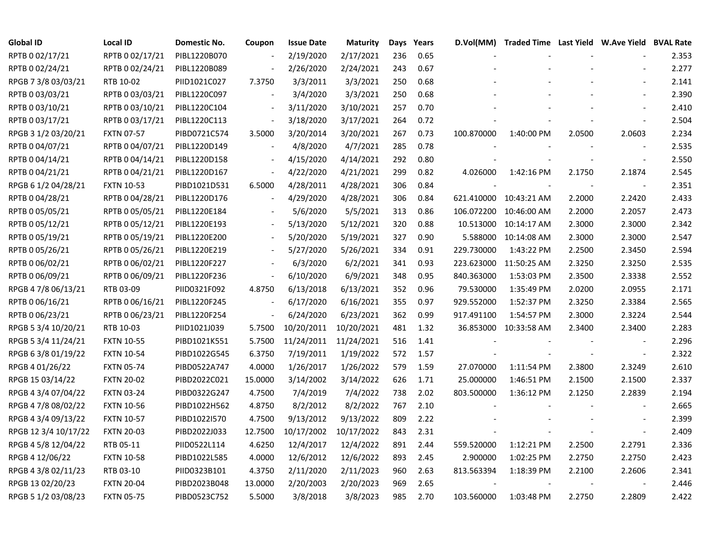| <b>Global ID</b>     | <b>Local ID</b>   | Domestic No. | Coupon                   | <b>Issue Date</b> | <b>Maturity</b> | Days | Years | D.Vol(MM)  | Traded Time Last Yield W.Ave Yield BVAL Rate |        |                          |       |
|----------------------|-------------------|--------------|--------------------------|-------------------|-----------------|------|-------|------------|----------------------------------------------|--------|--------------------------|-------|
| RPTB 0 02/17/21      | RPTB 0 02/17/21   | PIBL1220B070 |                          | 2/19/2020         | 2/17/2021       | 236  | 0.65  |            |                                              |        |                          | 2.353 |
| RPTB 0 02/24/21      | RPTB 0 02/24/21   | PIBL1220B089 |                          | 2/26/2020         | 2/24/2021       | 243  | 0.67  |            |                                              |        |                          | 2.277 |
| RPGB 7 3/8 03/03/21  | RTB 10-02         | PIID1021C027 | 7.3750                   | 3/3/2011          | 3/3/2021        | 250  | 0.68  |            |                                              |        |                          | 2.141 |
| RPTB 0 03/03/21      | RPTB 0 03/03/21   | PIBL1220C097 |                          | 3/4/2020          | 3/3/2021        | 250  | 0.68  |            |                                              |        |                          | 2.390 |
| RPTB 0 03/10/21      | RPTB 0 03/10/21   | PIBL1220C104 |                          | 3/11/2020         | 3/10/2021       | 257  | 0.70  |            |                                              |        |                          | 2.410 |
| RPTB 0 03/17/21      | RPTB 0 03/17/21   | PIBL1220C113 |                          | 3/18/2020         | 3/17/2021       | 264  | 0.72  |            |                                              |        |                          | 2.504 |
| RPGB 3 1/2 03/20/21  | <b>FXTN 07-57</b> | PIBD0721C574 | 3.5000                   | 3/20/2014         | 3/20/2021       | 267  | 0.73  | 100.870000 | 1:40:00 PM                                   | 2.0500 | 2.0603                   | 2.234 |
| RPTB 0 04/07/21      | RPTB 0 04/07/21   | PIBL1220D149 |                          | 4/8/2020          | 4/7/2021        | 285  | 0.78  |            |                                              |        |                          | 2.535 |
| RPTB 0 04/14/21      | RPTB 0 04/14/21   | PIBL1220D158 |                          | 4/15/2020         | 4/14/2021       | 292  | 0.80  |            |                                              |        | $\blacksquare$           | 2.550 |
| RPTB 0 04/21/21      | RPTB 0 04/21/21   | PIBL1220D167 |                          | 4/22/2020         | 4/21/2021       | 299  | 0.82  | 4.026000   | 1:42:16 PM                                   | 2.1750 | 2.1874                   | 2.545 |
| RPGB 6 1/2 04/28/21  | <b>FXTN 10-53</b> | PIBD1021D531 | 6.5000                   | 4/28/2011         | 4/28/2021       | 306  | 0.84  |            |                                              |        | $\overline{\phantom{a}}$ | 2.351 |
| RPTB 0 04/28/21      | RPTB 0 04/28/21   | PIBL1220D176 |                          | 4/29/2020         | 4/28/2021       | 306  | 0.84  |            | 621.410000 10:43:21 AM                       | 2.2000 | 2.2420                   | 2.433 |
| RPTB 0 05/05/21      | RPTB 0 05/05/21   | PIBL1220E184 |                          | 5/6/2020          | 5/5/2021        | 313  | 0.86  |            | 106.072200 10:46:00 AM                       | 2.2000 | 2.2057                   | 2.473 |
| RPTB 0 05/12/21      | RPTB 0 05/12/21   | PIBL1220E193 |                          | 5/13/2020         | 5/12/2021       | 320  | 0.88  |            | 10.513000 10:14:17 AM                        | 2.3000 | 2.3000                   | 2.342 |
| RPTB 0 05/19/21      | RPTB 0 05/19/21   | PIBL1220E200 |                          | 5/20/2020         | 5/19/2021       | 327  | 0.90  |            | 5.588000 10:14:08 AM                         | 2.3000 | 2.3000                   | 2.547 |
| RPTB 0 05/26/21      | RPTB 0 05/26/21   | PIBL1220E219 |                          | 5/27/2020         | 5/26/2021       | 334  | 0.91  | 229.730000 | 1:43:22 PM                                   | 2.2500 | 2.3450                   | 2.594 |
| RPTB 0 06/02/21      | RPTB 0 06/02/21   | PIBL1220F227 | $\blacksquare$           | 6/3/2020          | 6/2/2021        | 341  | 0.93  |            | 223.623000 11:50:25 AM                       | 2.3250 | 2.3250                   | 2.535 |
| RPTB 0 06/09/21      | RPTB 0 06/09/21   | PIBL1220F236 | $\overline{\phantom{a}}$ | 6/10/2020         | 6/9/2021        | 348  | 0.95  | 840.363000 | 1:53:03 PM                                   | 2.3500 | 2.3338                   | 2.552 |
| RPGB 4 7/8 06/13/21  | RTB 03-09         | PIID0321F092 | 4.8750                   | 6/13/2018         | 6/13/2021       | 352  | 0.96  | 79.530000  | 1:35:49 PM                                   | 2.0200 | 2.0955                   | 2.171 |
| RPTB 0 06/16/21      | RPTB 0 06/16/21   | PIBL1220F245 |                          | 6/17/2020         | 6/16/2021       | 355  | 0.97  | 929.552000 | 1:52:37 PM                                   | 2.3250 | 2.3384                   | 2.565 |
| RPTB 0 06/23/21      | RPTB 0 06/23/21   | PIBL1220F254 |                          | 6/24/2020         | 6/23/2021       | 362  | 0.99  | 917.491100 | 1:54:57 PM                                   | 2.3000 | 2.3224                   | 2.544 |
| RPGB 5 3/4 10/20/21  | RTB 10-03         | PIID1021J039 | 5.7500                   | 10/20/2011        | 10/20/2021      | 481  | 1.32  |            | 36.853000 10:33:58 AM                        | 2.3400 | 2.3400                   | 2.283 |
| RPGB 5 3/4 11/24/21  | <b>FXTN 10-55</b> | PIBD1021K551 | 5.7500                   | 11/24/2011        | 11/24/2021      | 516  | 1.41  |            |                                              |        | $\blacksquare$           | 2.296 |
| RPGB 6 3/8 01/19/22  | <b>FXTN 10-54</b> | PIBD1022G545 | 6.3750                   | 7/19/2011         | 1/19/2022       | 572  | 1.57  |            |                                              |        | $\blacksquare$           | 2.322 |
| RPGB 4 01/26/22      | <b>FXTN 05-74</b> | PIBD0522A747 | 4.0000                   | 1/26/2017         | 1/26/2022       | 579  | 1.59  | 27.070000  | 1:11:54 PM                                   | 2.3800 | 2.3249                   | 2.610 |
| RPGB 15 03/14/22     | <b>FXTN 20-02</b> | PIBD2022C021 | 15.0000                  | 3/14/2002         | 3/14/2022       | 626  | 1.71  | 25.000000  | 1:46:51 PM                                   | 2.1500 | 2.1500                   | 2.337 |
| RPGB 4 3/4 07/04/22  | <b>FXTN 03-24</b> | PIBD0322G247 | 4.7500                   | 7/4/2019          | 7/4/2022        | 738  | 2.02  | 803.500000 | 1:36:12 PM                                   | 2.1250 | 2.2839                   | 2.194 |
| RPGB 4 7/8 08/02/22  | <b>FXTN 10-56</b> | PIBD1022H562 | 4.8750                   | 8/2/2012          | 8/2/2022        | 767  | 2.10  |            |                                              |        |                          | 2.665 |
| RPGB 4 3/4 09/13/22  | <b>FXTN 10-57</b> | PIBD1022I570 | 4.7500                   | 9/13/2012         | 9/13/2022       | 809  | 2.22  |            |                                              |        |                          | 2.399 |
| RPGB 12 3/4 10/17/22 | <b>FXTN 20-03</b> | PIBD2022J033 | 12.7500                  | 10/17/2002        | 10/17/2022      | 843  | 2.31  |            |                                              |        | $\overline{\phantom{a}}$ | 2.409 |
| RPGB 4 5/8 12/04/22  | RTB 05-11         | PIID0522L114 | 4.6250                   | 12/4/2017         | 12/4/2022       | 891  | 2.44  | 559.520000 | 1:12:21 PM                                   | 2.2500 | 2.2791                   | 2.336 |
| RPGB 4 12/06/22      | <b>FXTN 10-58</b> | PIBD1022L585 | 4.0000                   | 12/6/2012         | 12/6/2022       | 893  | 2.45  | 2.900000   | 1:02:25 PM                                   | 2.2750 | 2.2750                   | 2.423 |
| RPGB 4 3/8 02/11/23  | RTB 03-10         | PIID0323B101 | 4.3750                   | 2/11/2020         | 2/11/2023       | 960  | 2.63  | 813.563394 | 1:18:39 PM                                   | 2.2100 | 2.2606                   | 2.341 |
| RPGB 13 02/20/23     | <b>FXTN 20-04</b> | PIBD2023B048 | 13.0000                  | 2/20/2003         | 2/20/2023       | 969  | 2.65  |            |                                              |        |                          | 2.446 |
| RPGB 5 1/2 03/08/23  | <b>FXTN 05-75</b> | PIBD0523C752 | 5.5000                   | 3/8/2018          | 3/8/2023        | 985  | 2.70  | 103.560000 | 1:03:48 PM                                   | 2.2750 | 2.2809                   | 2.422 |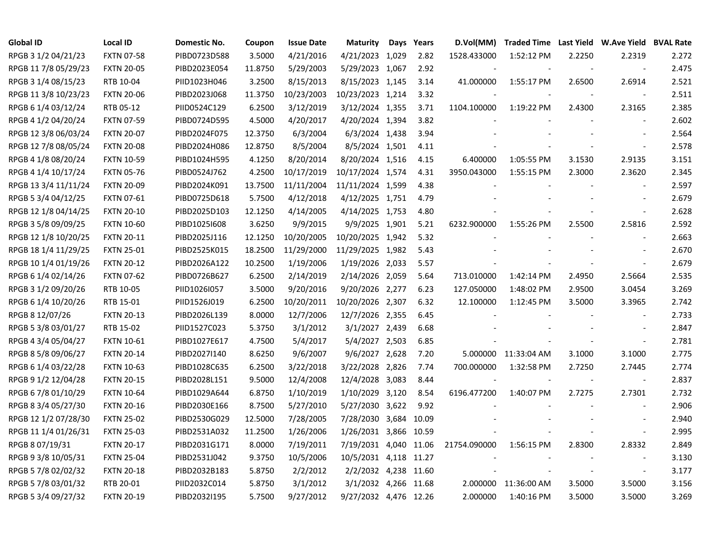| Global ID            | <b>Local ID</b>   | Domestic No. | Coupon  | <b>Issue Date</b> | <b>Maturity</b>       | Days | Years | D.Vol(MM)                |                      |        | Traded Time Last Yield W.Ave Yield BVAL Rate |       |
|----------------------|-------------------|--------------|---------|-------------------|-----------------------|------|-------|--------------------------|----------------------|--------|----------------------------------------------|-------|
| RPGB 3 1/2 04/21/23  | <b>FXTN 07-58</b> | PIBD0723D588 | 3.5000  | 4/21/2016         | 4/21/2023 1,029       |      | 2.82  | 1528.433000              | 1:52:12 PM           | 2.2250 | 2.2319                                       | 2.272 |
| RPGB 11 7/8 05/29/23 | <b>FXTN 20-05</b> | PIBD2023E054 | 11.8750 | 5/29/2003         | 5/29/2023 1,067       |      | 2.92  |                          |                      |        | $\overline{\phantom{a}}$                     | 2.475 |
| RPGB 3 1/4 08/15/23  | RTB 10-04         | PIID1023H046 | 3.2500  | 8/15/2013         | 8/15/2023 1,145       |      | 3.14  | 41.000000                | 1:55:17 PM           | 2.6500 | 2.6914                                       | 2.521 |
| RPGB 11 3/8 10/23/23 | <b>FXTN 20-06</b> | PIBD2023J068 | 11.3750 | 10/23/2003        | 10/23/2023 1,214      |      | 3.32  |                          |                      |        | $\overline{\phantom{a}}$                     | 2.511 |
| RPGB 6 1/4 03/12/24  | RTB 05-12         | PIID0524C129 | 6.2500  | 3/12/2019         | 3/12/2024 1,355       |      | 3.71  | 1104.100000              | 1:19:22 PM           | 2.4300 | 2.3165                                       | 2.385 |
| RPGB 4 1/2 04/20/24  | <b>FXTN 07-59</b> | PIBD0724D595 | 4.5000  | 4/20/2017         | 4/20/2024 1,394       |      | 3.82  |                          |                      |        | $\blacksquare$                               | 2.602 |
| RPGB 12 3/8 06/03/24 | <b>FXTN 20-07</b> | PIBD2024F075 | 12.3750 | 6/3/2004          | 6/3/2024 1,438        |      | 3.94  |                          |                      |        | $\overline{\phantom{a}}$                     | 2.564 |
| RPGB 12 7/8 08/05/24 | <b>FXTN 20-08</b> | PIBD2024H086 | 12.8750 | 8/5/2004          | 8/5/2024 1,501        |      | 4.11  |                          |                      |        | $\overline{\phantom{a}}$                     | 2.578 |
| RPGB 4 1/8 08/20/24  | <b>FXTN 10-59</b> | PIBD1024H595 | 4.1250  | 8/20/2014         | 8/20/2024 1,516       |      | 4.15  | 6.400000                 | 1:05:55 PM           | 3.1530 | 2.9135                                       | 3.151 |
| RPGB 4 1/4 10/17/24  | <b>FXTN 05-76</b> | PIBD0524J762 | 4.2500  | 10/17/2019        | 10/17/2024 1,574      |      | 4.31  | 3950.043000              | 1:55:15 PM           | 2.3000 | 2.3620                                       | 2.345 |
| RPGB 13 3/4 11/11/24 | <b>FXTN 20-09</b> | PIBD2024K091 | 13.7500 | 11/11/2004        | 11/11/2024 1,599      |      | 4.38  |                          |                      |        | $\blacksquare$                               | 2.597 |
| RPGB 5 3/4 04/12/25  | <b>FXTN 07-61</b> | PIBD0725D618 | 5.7500  | 4/12/2018         | 4/12/2025 1,751       |      | 4.79  |                          |                      |        | $\sim$                                       | 2.679 |
| RPGB 12 1/8 04/14/25 | <b>FXTN 20-10</b> | PIBD2025D103 | 12.1250 | 4/14/2005         | 4/14/2025 1,753       |      | 4.80  |                          |                      |        | $\overline{\phantom{a}}$                     | 2.628 |
| RPGB 3 5/8 09/09/25  | <b>FXTN 10-60</b> | PIBD1025I608 | 3.6250  | 9/9/2015          | 9/9/2025 1,901        |      | 5.21  | 6232.900000              | 1:55:26 PM           | 2.5500 | 2.5816                                       | 2.592 |
| RPGB 12 1/8 10/20/25 | <b>FXTN 20-11</b> | PIBD2025J116 | 12.1250 | 10/20/2005        | 10/20/2025 1,942      |      | 5.32  |                          |                      |        |                                              | 2.663 |
| RPGB 18 1/4 11/29/25 | <b>FXTN 25-01</b> | PIBD2525K015 | 18.2500 | 11/29/2000        | 11/29/2025 1,982      |      | 5.43  |                          |                      |        |                                              | 2.670 |
| RPGB 10 1/4 01/19/26 | <b>FXTN 20-12</b> | PIBD2026A122 | 10.2500 | 1/19/2006         | 1/19/2026 2,033       |      | 5.57  |                          |                      |        | $\overline{\phantom{a}}$                     | 2.679 |
| RPGB 6 1/4 02/14/26  | <b>FXTN 07-62</b> | PIBD0726B627 | 6.2500  | 2/14/2019         | 2/14/2026 2,059       |      | 5.64  | 713.010000               | 1:42:14 PM           | 2.4950 | 2.5664                                       | 2.535 |
| RPGB 3 1/2 09/20/26  | RTB 10-05         | PIID1026I057 | 3.5000  | 9/20/2016         | 9/20/2026 2,277       |      | 6.23  | 127.050000               | 1:48:02 PM           | 2.9500 | 3.0454                                       | 3.269 |
| RPGB 6 1/4 10/20/26  | RTB 15-01         | PIID1526J019 | 6.2500  | 10/20/2011        | 10/20/2026 2,307      |      | 6.32  | 12.100000                | 1:12:45 PM           | 3.5000 | 3.3965                                       | 2.742 |
| RPGB 8 12/07/26      | <b>FXTN 20-13</b> | PIBD2026L139 | 8.0000  | 12/7/2006         | 12/7/2026 2,355       |      | 6.45  |                          |                      |        | $\overline{\phantom{a}}$                     | 2.733 |
| RPGB 5 3/8 03/01/27  | RTB 15-02         | PIID1527C023 | 5.3750  | 3/1/2012          | 3/1/2027 2,439        |      | 6.68  |                          |                      |        | $\sim$                                       | 2.847 |
| RPGB 4 3/4 05/04/27  | <b>FXTN 10-61</b> | PIBD1027E617 | 4.7500  | 5/4/2017          | 5/4/2027 2,503        |      | 6.85  |                          |                      |        | $\overline{\phantom{a}}$                     | 2.781 |
| RPGB 8 5/8 09/06/27  | <b>FXTN 20-14</b> | PIBD2027I140 | 8.6250  | 9/6/2007          | 9/6/2027 2,628        |      | 7.20  |                          | 5.000000 11:33:04 AM | 3.1000 | 3.1000                                       | 2.775 |
| RPGB 6 1/4 03/22/28  | <b>FXTN 10-63</b> | PIBD1028C635 | 6.2500  | 3/22/2018         | 3/22/2028 2,826       |      | 7.74  | 700.000000               | 1:32:58 PM           | 2.7250 | 2.7445                                       | 2.774 |
| RPGB 9 1/2 12/04/28  | <b>FXTN 20-15</b> | PIBD2028L151 | 9.5000  | 12/4/2008         | 12/4/2028 3,083       |      | 8.44  | $\overline{\phantom{a}}$ |                      |        | $\overline{\phantom{a}}$                     | 2.837 |
| RPGB 6 7/8 01/10/29  | <b>FXTN 10-64</b> | PIBD1029A644 | 6.8750  | 1/10/2019         | 1/10/2029 3,120       |      | 8.54  | 6196.477200              | 1:40:07 PM           | 2.7275 | 2.7301                                       | 2.732 |
| RPGB 8 3/4 05/27/30  | <b>FXTN 20-16</b> | PIBD2030E166 | 8.7500  | 5/27/2010         | 5/27/2030 3,622       |      | 9.92  |                          |                      |        |                                              | 2.906 |
| RPGB 12 1/2 07/28/30 | <b>FXTN 25-02</b> | PIBD2530G029 | 12.5000 | 7/28/2005         | 7/28/2030 3,684 10.09 |      |       |                          |                      |        | $\overline{a}$                               | 2.940 |
| RPGB 11 1/4 01/26/31 | <b>FXTN 25-03</b> | PIBD2531A032 | 11.2500 | 1/26/2006         | 1/26/2031 3,866 10.59 |      |       |                          |                      |        | $\overline{\phantom{a}}$                     | 2.995 |
| RPGB 8 07/19/31      | <b>FXTN 20-17</b> | PIBD2031G171 | 8.0000  | 7/19/2011         | 7/19/2031 4,040 11.06 |      |       | 21754.090000             | 1:56:15 PM           | 2.8300 | 2.8332                                       | 2.849 |
| RPGB 9 3/8 10/05/31  | <b>FXTN 25-04</b> | PIBD2531J042 | 9.3750  | 10/5/2006         | 10/5/2031 4,118 11.27 |      |       |                          |                      |        | $\blacksquare$                               | 3.130 |
| RPGB 5 7/8 02/02/32  | <b>FXTN 20-18</b> | PIBD2032B183 | 5.8750  | 2/2/2012          | 2/2/2032 4,238 11.60  |      |       |                          |                      |        | $\blacksquare$                               | 3.177 |
| RPGB 5 7/8 03/01/32  | RTB 20-01         | PIID2032C014 | 5.8750  | 3/1/2012          | 3/1/2032 4,266 11.68  |      |       |                          | 2.000000 11:36:00 AM | 3.5000 | 3.5000                                       | 3.156 |
| RPGB 5 3/4 09/27/32  | <b>FXTN 20-19</b> | PIBD2032I195 | 5.7500  | 9/27/2012         | 9/27/2032 4,476 12.26 |      |       | 2.000000                 | 1:40:16 PM           | 3.5000 | 3.5000                                       | 3.269 |